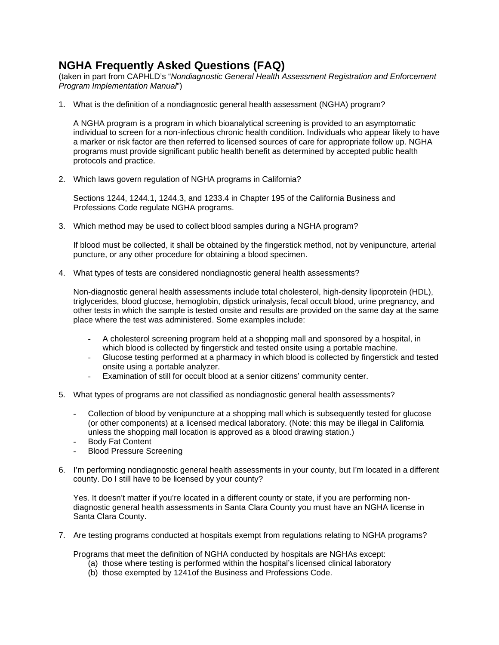## **NGHA Frequently Asked Questions (FAQ)**

(taken in part from CAPHLD's "*Nondiagnostic General Health Assessment Registration and Enforcement Program Implementation Manual*")

1. What is the definition of a nondiagnostic general health assessment (NGHA) program?

A NGHA program is a program in which bioanalytical screening is provided to an asymptomatic individual to screen for a non-infectious chronic health condition. Individuals who appear likely to have a marker or risk factor are then referred to licensed sources of care for appropriate follow up. NGHA programs must provide significant public health benefit as determined by accepted public health protocols and practice.

2. Which laws govern regulation of NGHA programs in California?

Sections 1244, 1244.1, 1244.3, and 1233.4 in Chapter 195 of the California Business and Professions Code regulate NGHA programs.

3. Which method may be used to collect blood samples during a NGHA program?

If blood must be collected, it shall be obtained by the fingerstick method, not by venipuncture, arterial puncture, or any other procedure for obtaining a blood specimen.

4. What types of tests are considered nondiagnostic general health assessments?

Non-diagnostic general health assessments include total cholesterol, high-density lipoprotein (HDL), triglycerides, blood glucose, hemoglobin, dipstick urinalysis, fecal occult blood, urine pregnancy, and other tests in which the sample is tested onsite and results are provided on the same day at the same place where the test was administered. Some examples include:

- A cholesterol screening program held at a shopping mall and sponsored by a hospital, in which blood is collected by fingerstick and tested onsite using a portable machine.
- Glucose testing performed at a pharmacy in which blood is collected by fingerstick and tested onsite using a portable analyzer.
- Examination of still for occult blood at a senior citizens' community center.
- 5. What types of programs are not classified as nondiagnostic general health assessments?
	- Collection of blood by venipuncture at a shopping mall which is subsequently tested for glucose (or other components) at a licensed medical laboratory. (Note: this may be illegal in California unless the shopping mall location is approved as a blood drawing station.)
	- Body Fat Content
	- Blood Pressure Screening
- 6. I'm performing nondiagnostic general health assessments in your county, but I'm located in a different county. Do I still have to be licensed by your county?

Yes. It doesn't matter if you're located in a different county or state, if you are performing nondiagnostic general health assessments in Santa Clara County you must have an NGHA license in Santa Clara County.

7. Are testing programs conducted at hospitals exempt from regulations relating to NGHA programs?

Programs that meet the definition of NGHA conducted by hospitals are NGHAs except:

- (a) those where testing is performed within the hospital's licensed clinical laboratory
- (b) those exempted by 1241of the Business and Professions Code.